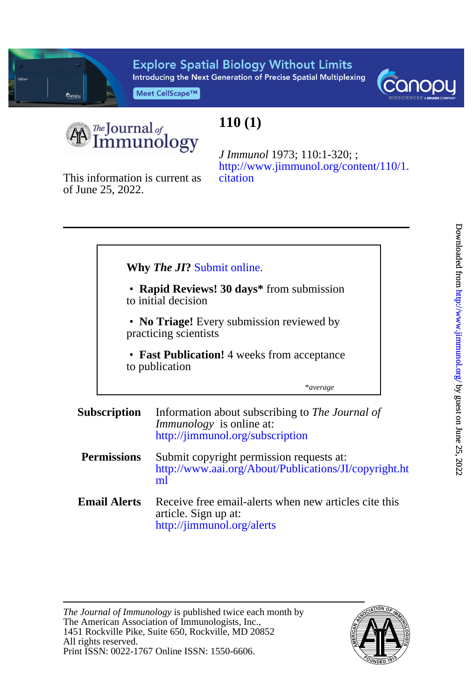

**Explore Spatial Biology Without Limits** Introducing the Next Generation of Precise Spatial Multiplexing

Meet CellScape™



The Journal of<br>Immunology

## **110 (1)**

[citation](http://www.jimmunol.org/content/110/1.citation) [http://www.jimmunol.org/content/110/1.](http://www.jimmunol.org/content/110/1.citation) *J Immunol* 1973; 110:1-320; ;

of June 25, 2022. This information is current as

|                     | • Rapid Reviews! 30 days* from submission<br>to initial decision                                                       |
|---------------------|------------------------------------------------------------------------------------------------------------------------|
|                     | • No Triage! Every submission reviewed by<br>practicing scientists                                                     |
|                     | • Fast Publication! 4 weeks from acceptance<br>to publication                                                          |
|                     | *average                                                                                                               |
| <b>Subscription</b> | Information about subscribing to The Journal of<br><i>Immunology</i> is online at:<br>http://jimmunol.org/subscription |

- **Permissions** [ml](http://www.aai.org/About/Publications/JI/copyright.html) [http://www.aai.org/About/Publications/JI/copyright.ht](http://www.aai.org/About/Publications/JI/copyright.html) Submit copyright permission requests at:
- **Email Alerts** <http://jimmunol.org/alerts> article. Sign up at: Receive free email-alerts when new articles cite this

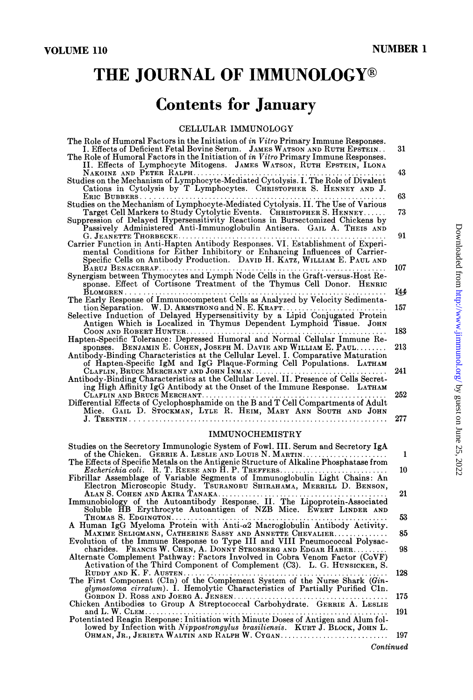# THE JOURNAL OF IMMUNOLOGY®

# **Contents for January**

### CELLULAR IMMUNOLOGY

| The Role of Humoral Factors in the Initiation of in Vitro Primary Immune Responses.                                                                              |     |
|------------------------------------------------------------------------------------------------------------------------------------------------------------------|-----|
| I. Effects of Deficient Fetal Bovine Serum. JAMES WATSON AND RUTH EPSTEIN<br>The Role of Humoral Factors in the Initiation of in Vitro Primary Immune Responses. | 31  |
| II. Effects of Lymphocyte Mitogens. JAMES WATSON, RUTH EPSTEIN, ILONA<br>NAKOINZ AND PETER RALPH.                                                                | 43  |
| Studies on the Mechanism of Lymphocyte-Mediated Cytolysis. I. The Role of Divalent<br>Cations in Cytolysis by T Lymphocytes. CHRISTOPHER S. HENNEY AND J.        |     |
| ERIC BUBBERS                                                                                                                                                     | 63  |
| Studies on the Mechanism of Lymphocyte-Mediated Cytolysis. II. The Use of Various                                                                                |     |
| Target Cell Markers to Study Cytolytic Events. CHRISTOPHER S. HENNEY                                                                                             | 73  |
| Suppression of Delayed Hypersensitivity Reactions in Bursectomized Chickens by                                                                                   |     |
| Passively Administered Anti-Immunoglobulin Antisera. GAIL A. THEIS AND                                                                                           |     |
| G. JEANETTE THORBECKE<br>Carrier Function in Anti-Hapten Antibody Responses. VI. Establishment of Experi-                                                        | 91  |
| mental Conditions for Either Inhibitory or Enhancing Influences of Carrier-                                                                                      |     |
| Specific Cells on Antibody Production. DAVID H. KATZ, WILLIAM E. PAUL AND                                                                                        |     |
|                                                                                                                                                                  | 107 |
| Synergism between Thymocytes and Lymph Node Cells in the Graft-versus-Host Re-                                                                                   |     |
| sponse. Effect of Cortisone Treatment of the Thymus Cell Donor. HENRIC                                                                                           |     |
|                                                                                                                                                                  | 144 |
| The Early Response of Immunocompetent Cells as Analyzed by Velocity Sedimenta-<br>tion Separation. W. D. ARMSTRONG and N. E. KRAFT.                              | 157 |
| Selective Induction of Delayed Hypersensitivity by a Lipid Conjugated Protein                                                                                    |     |
| Antigen Which is Localized in Thymus Dependent Lymphoid Tissue. JOHN                                                                                             |     |
| COON AND ROBERT HUNTER                                                                                                                                           | 183 |
| Hapten-Specific Tolerance: Depressed Humoral and Normal Cellular Immune Re-                                                                                      |     |
| sponses. BENJAMIN E. COHEN, JOSEPH M. DAVIE AND WILLIAM E. PAUL                                                                                                  | 213 |
| Antibody-Binding Characteristics at the Cellular Level. I. Comparative Maturation                                                                                |     |
| of Hapten-Specific IgM and IgG Plaque-Forming Cell Populations. LATHAM                                                                                           | 241 |
| Antibody-Binding Characteristics at the Cellular Level. II. Presence of Cells Secret-                                                                            |     |
| ing High Affinity IgG Antibody at the Onset of the Immune Response. LATHAM                                                                                       |     |
|                                                                                                                                                                  | 252 |
| Differential Effects of Cyclophosphamide on the B and T Cell Compartments of Adult                                                                               |     |
| Mice. GAIL D. STOCKMAN, LYLE R. HEIM, MARY ANN SOUTH AND JOHN                                                                                                    |     |
|                                                                                                                                                                  | 277 |
| <b>IMMUNOCHEMISTRY</b>                                                                                                                                           |     |
|                                                                                                                                                                  |     |

| Studies on the Secretory Immunologic System of Fowl. III. Serum and Secretory IgA<br>of the Chicken. GERRIE A. LESLIE AND LOUIS N. MARTIN | Ι.  |
|-------------------------------------------------------------------------------------------------------------------------------------------|-----|
| The Effects of Specific Metals on the Antigenic Structure of Alkaline Phosphatase from                                                    |     |
|                                                                                                                                           | 10  |
| Fibrillar Assemblage of Variable Segments of Immunoglobulin Light Chains: An                                                              |     |
| Electron Microscopic Study. TSURANOBU SHIRAHAMA, MERRILL D. BENSON,                                                                       |     |
|                                                                                                                                           | 21  |
| Immunobiology of the Autoantibody Response. II. The Lipoprotein-Associated                                                                |     |
| Soluble HB Erythrocyte Autoantigen of NZB Mice. EWERT LINDER AND                                                                          |     |
|                                                                                                                                           | 53  |
|                                                                                                                                           |     |
| A Human IgG Myeloma Protein with Anti- $\alpha$ 2 Macroglobulin Antibody Activity.                                                        |     |
| MAXIME SELIGMANN, CATHERINE SASSY AND ANNETTE CHEVALIER                                                                                   | 85  |
| Evolution of the Immune Response to Type III and VIII Pneumococcal Polysac-                                                               |     |
| charides. FRANCIS W. CHEN, A. DONNY STROSBERG AND EDGAR HABER                                                                             | 98  |
| Alternate Complement Pathway: Factors Involved in Cobra Venom Factor (CoVF)                                                               |     |
| Activation of the Third Component of Complement (C3). L. G. HUNSICKER, S.                                                                 |     |
|                                                                                                                                           | 128 |
| The First Component (C1n) of the Complement System of the Nurse Shark (Gin-                                                               |     |
| glymostoma cirratum). I. Hemolytic Characteristics of Partially Purified Cln.                                                             |     |
|                                                                                                                                           | 175 |
| Chicken Antibodies to Group A Streptococcal Carbohydrate. GERRIE A. LESLIE                                                                |     |
|                                                                                                                                           | 191 |
| Potentiated Reagin Response: Initiation with Minute Doses of Antigen and Alum fol-                                                        |     |
| lowed by Infection with Nippostrongylus brasiliensis. KURT J. BLOCK, JOHN L.                                                              |     |
| OHMAN, JR., JERIETA WALTIN AND RALPH W. CYGAN                                                                                             | 197 |
|                                                                                                                                           |     |